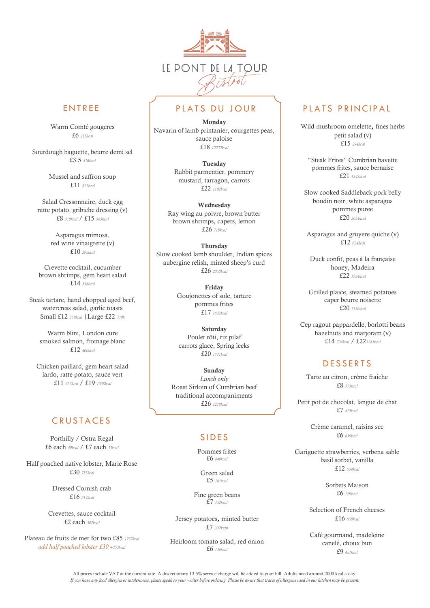

Warm Comté gougeres £6 *213kcal*

Sourdough baguette, beurre demi sel £3.5 *416kcal*

> Mussel and saffron soup £11 *571kcal*

Salad Cressonnaire, duck egg ratte potato, gribiche dressing (v) £8 *310kcal* / £15 *563kcal*

> Asparagus mimosa, red wine vinaigrette (v) £10 *295kcal*

Crevette cocktail, cucumber brown shrimps, gem heart salad £14 *538kcal*

Steak tartare, hand chopped aged beef, watercress salad, garlic toasts Small £12 *369kcal* |Large £22 *730k*

Warm blini, London cure smoked salmon, fromage blanc £12 *400kcal*

Chicken paillard, gem heart salad lardo, ratte potato, sauce vert £11 *625kcal* / £19 *1038kcal*

# **CRUSTACES**

Porthilly / Ostra Regal £6 each *40kcal* / £7 each *33kcal*

Half poached native lobster, Marie Rose £30 *753kcal*

> Dressed Cornish crab £16 *214kcal*

Crevettes, sauce cocktail £2 each *302kcal*

Plateau de fruits de mer for two £85 *1737kcal add half poached lobster £30 +753kcal*

# ENTREE | PIATS DU JOUR | PIATS PRINCIPAL

Monday Navarin of lamb printanier, courgettes peas, sauce paloise £18 *12232kcal*

> Tuesday Rabbit parmentier, pommery mustard, tarragon, carrots £22 *1102kcal*

Wednesday Ray wing au poivre, brown butter brown shrimps, capers, lemon £26 *718kcal*

**Thursday** Slow cooked lamb shoulder, Indian spices aubergine relish, minted sheep's curd £26 *2050kcal*

> Friday Goujonettes of sole, tartare pommes frites £17 *1832kcal*

**Saturday** Poulet rôti, riz pilaf carrots glace, Spring leeks £20 *1571kcal*

Sunday *Lunch only* Roast Sirloin of Cumbrian beef traditional accompaniments £26 *1278kcal*

# **SIDES**

Pommes frites £6 *840kcal*

Green salad £5 *161kcal*

Fine green beans £7 *152kcal*

Jersey potatoes, minted butter £7 *307kcal*

Heirloom tomato salad, red onion £6 *136kcal*

Wild mushroom omelette, fines herbs petit salad (v) £15 *294kcal*

"Steak Frites" Cumbrian bavette pommes frites, sauce bernaise £21 *1343kcal*

Slow cooked Saddleback pork belly boudin noir, white asparagus pommes puree £20 *3054kcal*

Asparagus and gruyere quiche (v) £12 *624kcal*

Duck confit, peas à la française honey, Madeira £22 *1934kcal*

Grilled plaice, steamed potatoes caper beurre noisette £20 *1316kcal*

Cep ragout pappardelle, borlotti beans hazelnuts and marjoram (v) £14 *724kcal* / £22*1283kcal*

# **DESSERTS**

Tarte au citron, crème fraiche £8 *575kcal*

Petit pot de chocolat, langue de chat £7 *475kcal*

> Crème caramel, raisins sec £6 *639kcal*

Gariguette strawberries, verbena sable basil sorbet, vanilla £12 *534kcal*

> Sorbets Maison £6 *129kcal*

Selection of French cheeses £16 *638kcal*

Café gourmand, madeleine canelé, choux bun £9 *451kcal*

All prices include VAT at the current rate. A discretionary 13.5% service charge will be added to your bill. Adults need around 2000 kcal a day. *If you have any food allergies or intolerances, please speak to your waiter before ordering. Please be aware that traces of allergens used in our kitchen may be present.*